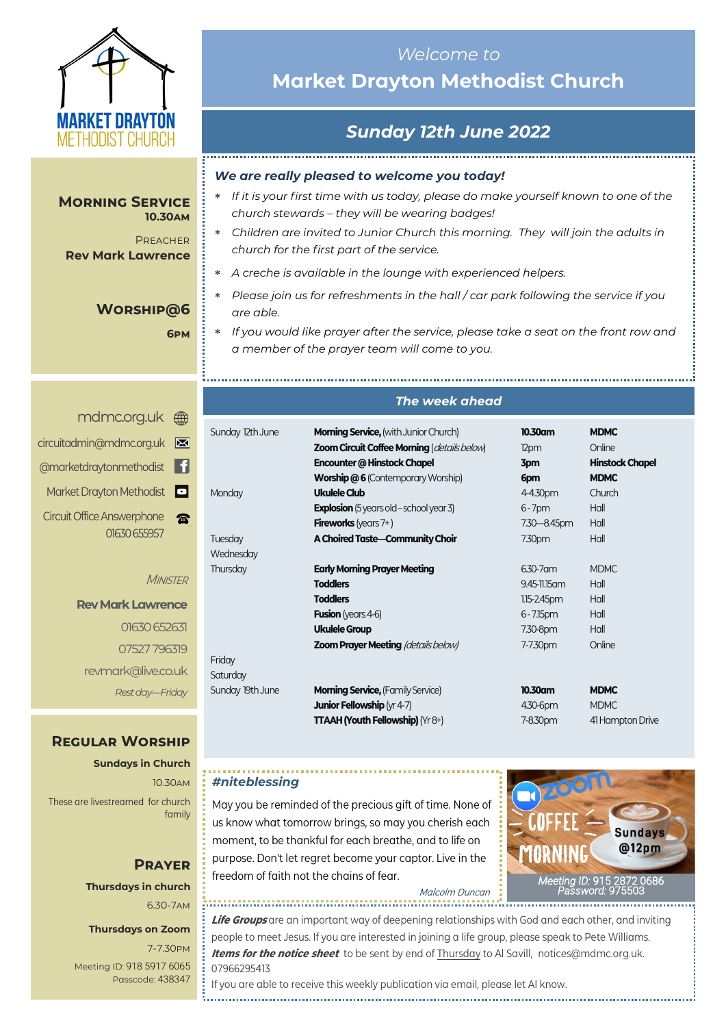

#### **Morning Service 10.30am**

**PREACHER Rev Mark Lawrence**

### **Worship@6**

**6pm**

## *Welcome to*  **Market Drayton Methodist Church**

## *Sunday 12th June 2022*

#### *We are really pleased to welcome you today!*

- *If it is your first time with us today, please do make yourself known to one of the church stewards – they will be wearing badges!*
- *Children are invited to Junior Church this morning. They will join the adults in church for the first part of the service.*
- *A creche is available in the lounge with experienced helpers.*
- *Please join us for refreshments in the hall / car park following the service if you are able.*
- *If you would like prayer after the service, please take a seat on the front row and a member of the prayer team will come to you.*

## <mdmc.org.uk> [circuitadmin@mdmc.org.uk](mailto:circuitadmin@mdmc.org.uk) [@marketdraytonmethodist](https://www.facebook.com/MarketDraytonMethodist) Market Drayton Methodist Circuit Office Answerphone **R** 01630 655957

**MINISTER** 

### **Rev Mark Lawrence** 01630 652631 07527 796319 revmark@live.co.uk *Rest day—Friday*

### **Regular Worship**

**Sundays in Church** 10.30am These are livestreamed for church family

## **Prayer Thursdays in church**

6.30-7am

### **Thursdays on Zoom**

7-7.30pm [Meeting ID:](https://us04web.zoom.us/j/77138650306?fbclid=IwAR1B778-w3GWZgDnAqUFq-X6hXjzASNTsZuRIt4kZ4Cpyur_3CO2EGlBBwY#success) 918 5917 6065 Passcode: 438347

## *The week ahead*

| Sunday 12th June | <b>Morning Service, (with Junior Church)</b><br><b>Zoom Circuit Coffee Morning (details below)</b><br>Encounter @ Hinstock Chapel | $10.30$ am<br>12pm<br>3pm | <b>MDMC</b><br>Online<br><b>Hinstock Chapel</b> |
|------------------|-----------------------------------------------------------------------------------------------------------------------------------|---------------------------|-------------------------------------------------|
|                  | <b>Worship @6 (Contemporary Worship)</b>                                                                                          | 6pm                       | <b>MDMC</b>                                     |
| Monday           | Ukulele Club                                                                                                                      | 4-4.30pm                  | Church                                          |
|                  | <b>Explosion</b> (5 years old - school year 3)                                                                                    | $6 - 7$ pm                | Hall                                            |
|                  | <b>Fireworks</b> (years $7+$ )                                                                                                    | 7.30 - 8.45pm             | Hall                                            |
| Tuesday          | A Choired Taste-Community Choir                                                                                                   | 7.30pm                    | Hall                                            |
| Wednesday        |                                                                                                                                   |                           |                                                 |
| Thursday         | <b>Early Morning Prayer Meeting</b>                                                                                               | $6.30 - 7$ am             | <b>MDMC</b>                                     |
|                  | <b>Toddlers</b>                                                                                                                   | 9.45-11.15 am             | Hall                                            |
|                  | <b>Toddlers</b>                                                                                                                   | $1.15 - 2.45$ pm          | Hall                                            |
|                  | <b>Fusion</b> (years 4-6)                                                                                                         | $6 - 7.15$ pm             | Hall                                            |
|                  | <b>Ukulele Group</b>                                                                                                              | 7.30-8pm                  | Hall                                            |
|                  | <b>Zoom Prayer Meeting (details below)</b>                                                                                        | 7-7.30pm                  | Online                                          |
| Friday           |                                                                                                                                   |                           |                                                 |
| Saturday         |                                                                                                                                   |                           |                                                 |
| Sunday 19th June | <b>Morning Service, (Family Service)</b>                                                                                          | 10.30am                   | <b>MDMC</b>                                     |
|                  | <b>Junior Fellowship</b> ( $\gamma$ r 4-7)                                                                                        | 4.30-6pm                  | <b>MDMC</b>                                     |
|                  | <b>TTAAH (Youth Fellowship)</b> ( $Yr8+$ )                                                                                        | 7-8.30pm                  | 41 Hampton Drive                                |

### *#niteblessing*

May you be reminded of the precious gift of time. None of us know what tomorrow brings, so may you cherish each moment, to be thankful for each breathe, and to life on purpose. Don't let regret become your captor. Live in the freedom of faith not the chains of fear.



Malcolm Duncan 

**Life Groups** are an important way of deepening relationships with God and each other, and inviting people to meet Jesus. If you are interested in joining a life group, please speak to Pete Williams. **Items for the notice sheet** to be sent by end of Thursday to Al Savill, notices@mdmc.org.uk. 07966295413

If you are able to receive this weekly publication via email, please let Al know.